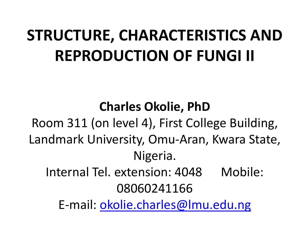### **STRUCTURE, CHARACTERISTICS AND REPRODUCTION OF FUNGI II**

**Charles Okolie, PhD** Room 311 (on level 4), First College Building, Landmark University, Omu-Aran, Kwara State, Nigeria. Internal Tel. extension: 4048 Mobile: 08060241166 E-mail: [okolie.charles@lmu.edu.ng](mailto:okolie.charles@lmu.edu.ng)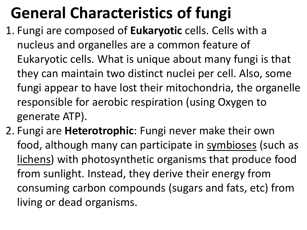### **General Characteristics of fungi**

- 1. Fungi are composed of **Eukaryotic** cells. Cells with a nucleus and organelles are a common feature of Eukaryotic cells. What is unique about many fungi is that they can maintain two distinct nuclei per cell. Also, some fungi appear to have lost their mitochondria, the organelle responsible for aerobic respiration (using Oxygen to generate ATP).
- 2. Fungi are **Heterotrophic**: Fungi never make their own food, although many can participate in symbioses (such as lichens) with photosynthetic organisms that produce food from sunlight. Instead, they derive their energy from consuming carbon compounds (sugars and fats, etc) from living or dead organisms.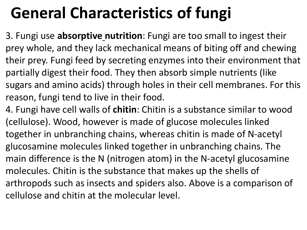## **General Characteristics of fungi**

3. Fungi use **absorptive nutrition**: Fungi are too small to ingest their prey whole, and they lack mechanical means of biting off and chewing their prey. Fungi feed by secreting enzymes into their environment that partially digest their food. They then absorb simple nutrients (like sugars and amino acids) through holes in their cell membranes. For this reason, fungi tend to live in their food.

4. Fungi have cell walls of **chitin**: Chitin is a substance similar to wood (cellulose). Wood, however is made of glucose molecules linked together in unbranching chains, whereas chitin is made of N-acetyl glucosamine molecules linked together in unbranching chains. The main difference is the N (nitrogen atom) in the N-acetyl glucosamine molecules. Chitin is the substance that makes up the shells of arthropods such as insects and spiders also. Above is a comparison of cellulose and chitin at the molecular level.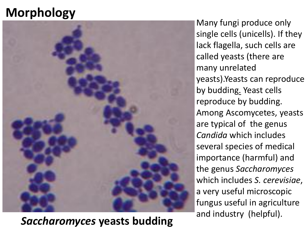#### **Morphology**



and industry (helpful). *Saccharomyces* **yeasts budding**

Many fungi produce only single cells (unicells). If they lack flagella, such cells are called yeasts (there are many unrelated yeasts).Yeasts can reproduce by budding. Yeast cells reproduce by budding. Among Ascomycetes, yeasts are typical of the genus *Candida* which includes several species of medical importance (harmful) and the genus *Saccharomyces*  which includes *S. cerevisiae*, a very useful microscopic fungus useful in agriculture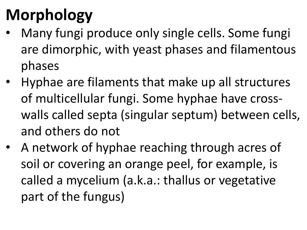# **Morphology**

- Many fungi produce only single cells. Some fungi are dimorphic, with yeast phases and filamentous phases
- Hyphae are filaments that make up all structures of multicellular fungi. Some hyphae have crosswalls called septa (singular septum) between cells, and others do not
- A network of hyphae reaching through acres of soil or covering an orange peel, for example, is called a mycelium (a.k.a.: thallus or vegetative part of the fungus)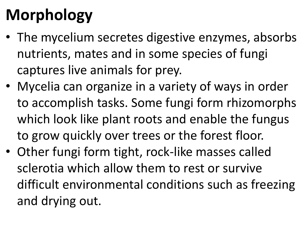# **Morphology**

- The mycelium secretes digestive enzymes, absorbs nutrients, mates and in some species of fungi captures live animals for prey.
- Mycelia can organize in a variety of ways in order to accomplish tasks. Some fungi form rhizomorphs which look like plant roots and enable the fungus to grow quickly over trees or the forest floor.
- Other fungi form tight, rock-like masses called sclerotia which allow them to rest or survive difficult environmental conditions such as freezing and drying out.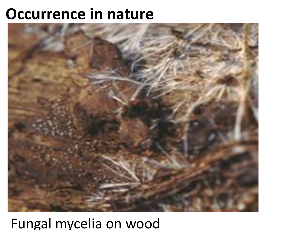#### **Occurrence in nature**



#### Fungal mycelia on wood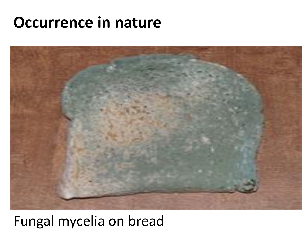#### **Occurrence in nature**



#### Fungal mycelia on bread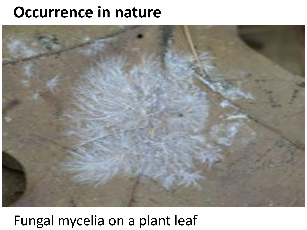#### **Occurrence in nature**



#### Fungal mycelia on a plant leaf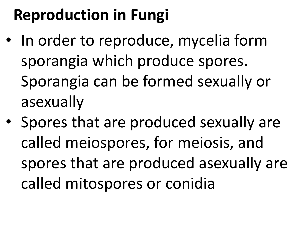### **Reproduction in Fungi**

- In order to reproduce, mycelia form sporangia which produce spores. Sporangia can be formed sexually or asexually
- Spores that are produced sexually are called meiospores, for meiosis, and spores that are produced asexually are called mitospores or conidia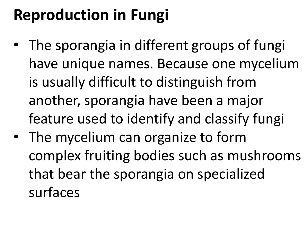### **Reproduction in Fungi**

- The sporangia in different groups of fungi have unique names. Because one mycelium is usually difficult to distinguish from another, sporangia have been a major feature used to identify and classify fungi
- The mycelium can organize to form complex fruiting bodies such as mushrooms that bear the sporangia on specialized surfaces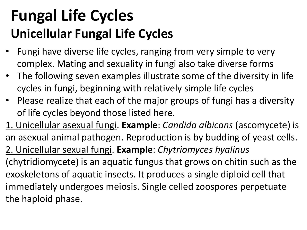### **Fungal Life Cycles Unicellular Fungal Life Cycles**

- Fungi have diverse life cycles, ranging from very simple to very complex. Mating and sexuality in fungi also take diverse forms
- The following seven examples illustrate some of the diversity in life cycles in fungi, beginning with relatively simple life cycles
- Please realize that each of the major groups of fungi has a diversity of life cycles beyond those listed here.
- 1. Unicellular asexual fungi. **Example**: *Candida albicans* (ascomycete) is an asexual animal pathogen. Reproduction is by budding of yeast cells. 2. Unicellular sexual fungi. **Example**: *Chytriomyces hyalinus* (chytridiomycete) is an aquatic fungus that grows on chitin such as the exoskeletons of aquatic insects. It produces a single diploid cell that immediately undergoes meiosis. Single celled zoospores perpetuate the haploid phase.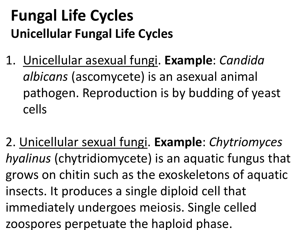#### **Fungal Life Cycles Unicellular Fungal Life Cycles**

- 1. Unicellular asexual fungi. **Example**: *Candida albicans* (ascomycete) is an asexual animal pathogen. Reproduction is by budding of yeast cells
- 2. Unicellular sexual fungi. **Example**: *Chytriomyces hyalinus* (chytridiomycete) is an aquatic fungus that grows on chitin such as the exoskeletons of aquatic insects. It produces a single diploid cell that immediately undergoes meiosis. Single celled zoospores perpetuate the haploid phase.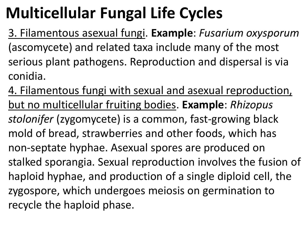3. Filamentous asexual fungi. **Example**: *Fusarium oxysporum* (ascomycete) and related taxa include many of the most serious plant pathogens. Reproduction and dispersal is via conidia.

4. Filamentous fungi with sexual and asexual reproduction, but no multicellular fruiting bodies. **Example**: *Rhizopus stolonifer* (zygomycete) is a common, fast-growing black mold of bread, strawberries and other foods, which has non-septate hyphae. Asexual spores are produced on stalked sporangia. Sexual reproduction involves the fusion of haploid hyphae, and production of a single diploid cell, the zygospore, which undergoes meiosis on germination to recycle the haploid phase.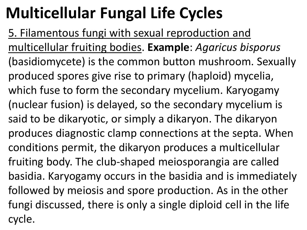5. Filamentous fungi with sexual reproduction and multicellular fruiting bodies. **Example**: *Agaricus bisporus* (basidiomycete) is the common button mushroom. Sexually produced spores give rise to primary (haploid) mycelia, which fuse to form the secondary mycelium. Karyogamy (nuclear fusion) is delayed, so the secondary mycelium is said to be dikaryotic, or simply a dikaryon. The dikaryon produces diagnostic clamp connections at the septa. When conditions permit, the dikaryon produces a multicellular fruiting body. The club-shaped meiosporangia are called basidia. Karyogamy occurs in the basidia and is immediately followed by meiosis and spore production. As in the other fungi discussed, there is only a single diploid cell in the life cycle.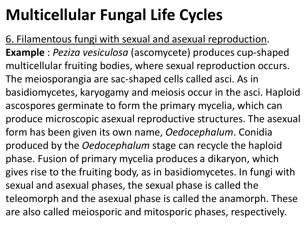6. Filamentous fungi with sexual and asexual reproduction. **Example** : *Peziza vesiculosa* (ascomycete) produces cup-shaped multicellular fruiting bodies, where sexual reproduction occurs. The meiosporangia are sac-shaped cells called asci. As in basidiomycetes, karyogamy and meiosis occur in the asci. Haploid ascospores germinate to form the primary mycelia, which can produce microscopic asexual reproductive structures. The asexual form has been given its own name, *Oedocephalum*. Conidia produced by the *Oedocephalum* stage can recycle the haploid phase. Fusion of primary mycelia produces a dikaryon, which gives rise to the fruiting body, as in basidiomycetes. In fungi with sexual and asexual phases, the sexual phase is called the teleomorph and the asexual phase is called the anamorph. These are also called meiosporic and mitosporic phases, respectively.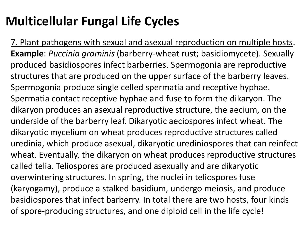7. Plant pathogens with sexual and asexual reproduction on multiple hosts. **Example**: *Puccinia graminis* (barberry-wheat rust; basidiomycete). Sexually produced basidiospores infect barberries. Spermogonia are reproductive structures that are produced on the upper surface of the barberry leaves. Spermogonia produce single celled spermatia and receptive hyphae. Spermatia contact receptive hyphae and fuse to form the dikaryon. The dikaryon produces an asexual reproductive structure, the aecium, on the underside of the barberry leaf. Dikaryotic aeciospores infect wheat. The dikaryotic mycelium on wheat produces reproductive structures called uredinia, which produce asexual, dikaryotic urediniospores that can reinfect wheat. Eventually, the dikaryon on wheat produces reproductive structures called telia. Teliospores are produced asexually and are dikaryotic overwintering structures. In spring, the nuclei in teliospores fuse (karyogamy), produce a stalked basidium, undergo meiosis, and produce basidiospores that infect barberry. In total there are two hosts, four kinds of spore-producing structures, and one diploid cell in the life cycle!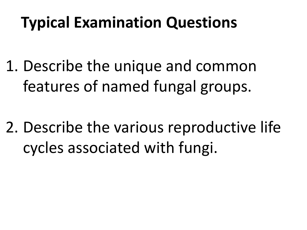### **Typical Examination Questions**

- 1. Describe the unique and common features of named fungal groups.
- 2. Describe the various reproductive life cycles associated with fungi.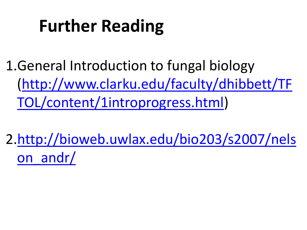# **Further Reading**

1.General Introduction to fungal biology [\(http://www.clarku.edu/faculty/dhibbett/TF](http://www.clarku.edu/faculty/dhibbett/TFTOL/content/1introprogress.html) [TOL/content/1introprogress.html](http://www.clarku.edu/faculty/dhibbett/TFTOL/content/1introprogress.html))

2.[http://bioweb.uwlax.edu/bio203/s2007/nels](http://bioweb.uwlax.edu/bio203/s2007/nelson_andr/) [on\\_andr/](http://bioweb.uwlax.edu/bio203/s2007/nelson_andr/)